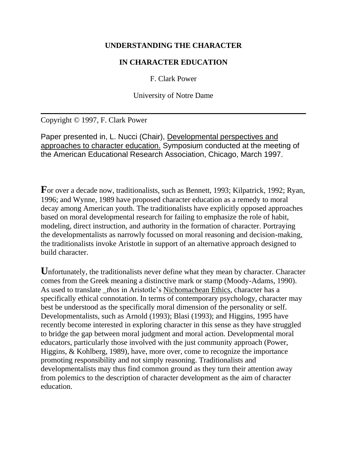### **UNDERSTANDING THE CHARACTER**

# **IN CHARACTER EDUCATION**

F. Clark Power

University of Notre Dame

Copyright © 1997, F. Clark Power

Paper presented in, L. Nucci (Chair), Developmental perspectives and approaches to character education. Symposium conducted at the meeting of the American Educational Research Association, Chicago, March 1997.

For over a decade now, traditionalists, such as Bennett, 1993; Kilpatrick, 1992; Ryan, 1996; and Wynne, 1989 have proposed character education as a remedy to moral decay among American youth. The traditionalists have explicitly opposed approaches based on moral developmental research for failing to emphasize the role of habit, modeling, direct instruction, and authority in the formation of character. Portraying the developmentalists as narrowly focussed on moral reasoning and decision-making, the traditionalists invoke Aristotle in support of an alternative approach designed to build character.

Unfortunately, the traditionalists never define what they mean by character. Character comes from the Greek meaning a distinctive mark or stamp (Moody-Adams, 1990). As used to translate *\_thos* in Aristotle's Nichomachean Ethics, character has a specifically ethical connotation. In terms of contemporary psychology, character may best be understood as the specifically moral dimension of the personality or self. Developmentalists, such as Arnold (1993); Blasi (1993); and Higgins, 1995 have recently become interested in exploring character in this sense as they have struggled to bridge the gap between moral judgment and moral action. Developmental moral educators, particularly those involved with the just community approach (Power, Higgins, & Kohlberg, 1989), have, more over, come to recognize the importance promoting responsibility and not simply reasoning. Traditionalists and developmentalists may thus find common ground as they turn their attention away from polemics to the description of character development as the aim of character education.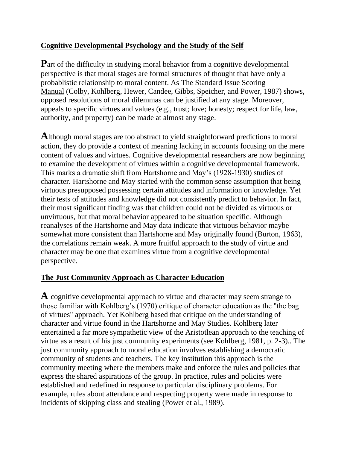# **Cognitive Developmental Psychology and the Study of the Self**

**P**art of the difficulty in studying moral behavior from a cognitive developmental perspective is that moral stages are formal structures of thought that have only a probablistic relationship to moral content. As The Standard Issue Scoring Manual (Colby, Kohlberg, Hewer, Candee, Gibbs, Speicher, and Power, 1987) shows, opposed resolutions of moral dilemmas can be justified at any stage. Moreover, appeals to specific virtues and values (e.g., trust; love; honesty; respect for life, law, authority, and property) can be made at almost any stage.

**A**lthough moral stages are too abstract to yield straightforward predictions to moral action, they do provide a context of meaning lacking in accounts focusing on the mere content of values and virtues. Cognitive developmental researchers are now beginning to examine the development of virtues within a cognitive developmental framework. This marks a dramatic shift from Hartshorne and May's (1928-1930) studies of character. Hartshorne and May started with the common sense assumption that being virtuous presupposed possessing certain attitudes and information or knowledge. Yet their tests of attitudes and knowledge did not consistently predict to behavior. In fact, their most significant finding was that children could not be divided as virtuous or unvirtuous, but that moral behavior appeared to be situation specific. Although reanalyses of the Hartshorne and May data indicate that virtuous behavior maybe somewhat more consistent than Hartshorne and May originally found (Burton, 1963), the correlations remain weak. A more fruitful approach to the study of virtue and character may be one that examines virtue from a cognitive developmental perspective.

# **The Just Community Approach as Character Education**

**A** cognitive developmental approach to virtue and character may seem strange to those familiar with Kohlberg's (1970) critique of character education as the "the bag of virtues" approach. Yet Kohlberg based that critique on the understanding of character and virtue found in the Hartshorne and May Studies. Kohlberg later entertained a far more sympathetic view of the Aristotlean approach to the teaching of virtue as a result of his just community experiments (see Kohlberg, 1981, p. 2-3).. The just community approach to moral education involves establishing a democratic community of students and teachers. The key institution this approach is the community meeting where the members make and enforce the rules and policies that express the shared aspirations of the group. In practice, rules and policies were established and redefined in response to particular disciplinary problems. For example, rules about attendance and respecting property were made in response to incidents of skipping class and stealing (Power et al., 1989).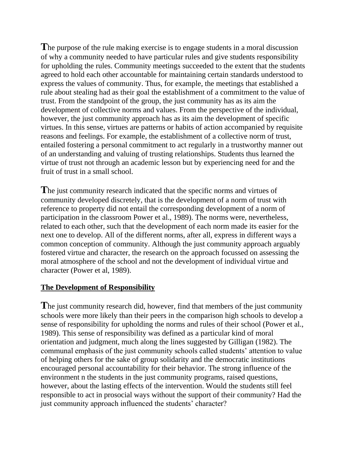**T**he purpose of the rule making exercise is to engage students in a moral discussion of why a community needed to have particular rules and give students responsibility for upholding the rules. Community meetings succeeded to the extent that the students agreed to hold each other accountable for maintaining certain standards understood to express the values of community. Thus, for example, the meetings that established a rule about stealing had as their goal the establishment of a commitment to the value of trust. From the standpoint of the group, the just community has as its aim the development of collective norms and values. From the perspective of the individual, however, the just community approach has as its aim the development of specific virtues. In this sense, virtues are patterns or habits of action accompanied by requisite reasons and feelings. For example, the establishment of a collective norm of trust, entailed fostering a personal commitment to act regularly in a trustworthy manner out of an understanding and valuing of trusting relationships. Students thus learned the virtue of trust not through an academic lesson but by experiencing need for and the fruit of trust in a small school.

**T**he just community research indicated that the specific norms and virtues of community developed discretely, that is the development of a norm of trust with reference to property did not entail the corresponding development of a norm of participation in the classroom Power et al., 1989). The norms were, nevertheless, related to each other, such that the development of each norm made its easier for the next one to develop. All of the different norms, after all, express in different ways a common conception of community. Although the just community approach arguably fostered virtue and character, the research on the approach focussed on assessing the moral atmosphere of the school and not the development of individual virtue and character (Power et al, 1989).

#### **The Development of Responsibility**

**T**he just community research did, however, find that members of the just community schools were more likely than their peers in the comparison high schools to develop a sense of responsibility for upholding the norms and rules of their school (Power et al., 1989). This sense of responsibility was defined as a particular kind of moral orientation and judgment, much along the lines suggested by Gilligan (1982). The communal emphasis of the just community schools called students' attention to value of helping others for the sake of group solidarity and the democratic institutions encouraged personal accountability for their behavior. The strong influence of the environment n the students in the just community programs, raised questions, however, about the lasting effects of the intervention. Would the students still feel responsible to act in prosocial ways without the support of their community? Had the just community approach influenced the students' character?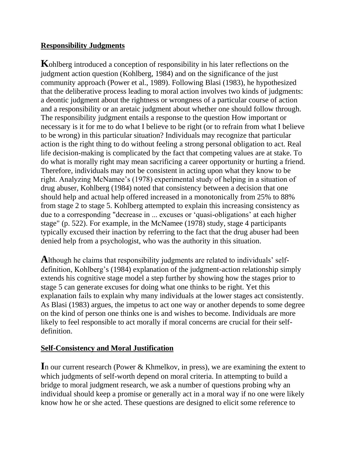# **Responsibility Judgments**

**K**ohlberg introduced a conception of responsibility in his later reflections on the judgment action question (Kohlberg, 1984) and on the significance of the just community approach (Power et al., 1989). Following Blasi (1983), he hypothesized that the deliberative process leading to moral action involves two kinds of judgments: a deontic judgment about the rightness or wrongness of a particular course of action and a responsibility or an aretaic judgment about whether one should follow through. The responsibility judgment entails a response to the question How important or necessary is it for me to do what I believe to be right (or to refrain from what I believe to be wrong) in this particular situation? Individuals may recognize that particular action is the right thing to do without feeling a strong personal obligation to act. Real life decision-making is complicated by the fact that competing values are at stake. To do what is morally right may mean sacrificing a career opportunity or hurting a friend. Therefore, individuals may not be consistent in acting upon what they know to be right. Analyzing McNamee's (1978) experimental study of helping in a situation of drug abuser, Kohlberg (1984) noted that consistency between a decision that one should help and actual help offered increased in a monotonically from 25% to 88% from stage 2 to stage 5. Kohlberg attempted to explain this increasing consistency as due to a corresponding "decrease in ... excuses or 'quasi-obligations' at each higher stage" (p. 522). For example, in the McNamee (1978) study, stage 4 participants typically excused their inaction by referring to the fact that the drug abuser had been denied help from a psychologist, who was the authority in this situation.

**A**lthough he claims that responsibility judgments are related to individuals' selfdefinition, Kohlberg's (1984) explanation of the judgment-action relationship simply extends his cognitive stage model a step further by showing how the stages prior to stage 5 can generate excuses for doing what one thinks to be right. Yet this explanation fails to explain why many individuals at the lower stages act consistently. As Blasi (1983) argues, the impetus to act one way or another depends to some degree on the kind of person one thinks one is and wishes to become. Individuals are more likely to feel responsible to act morally if moral concerns are crucial for their selfdefinition.

# **Self-Consistency and Moral Justification**

In our current research (Power & Khmelkov, in press), we are examining the extent to which judgments of self-worth depend on moral criteria. In attempting to build a bridge to moral judgment research, we ask a number of questions probing why an individual should keep a promise or generally act in a moral way if no one were likely know how he or she acted. These questions are designed to elicit some reference to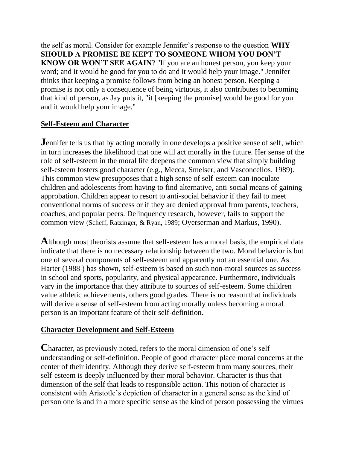the self as moral. Consider for example Jennifer's response to the question **WHY SHOULD A PROMISE BE KEPT TO SOMEONE WHOM YOU DON'T KNOW OR WON'T SEE AGAIN**? "If you are an honest person, you keep your word; and it would be good for you to do and it would help your image." Jennifer thinks that keeping a promise follows from being an honest person. Keeping a promise is not only a consequence of being virtuous, it also contributes to becoming that kind of person, as Jay puts it, "it [keeping the promise] would be good for you and it would help your image."

# **Self-Esteem and Character**

**J**ennifer tells us that by acting morally in one develops a positive sense of self, which in turn increases the likelihood that one will act morally in the future. Her sense of the role of self-esteem in the moral life deepens the common view that simply building self-esteem fosters good character (e.g., Mecca, Smelser, and Vasconcellos, 1989). This common view presupposes that a high sense of self-esteem can inoculate children and adolescents from having to find alternative, anti-social means of gaining approbation. Children appear to resort to anti-social behavior if they fail to meet conventional norms of success or if they are denied approval from parents, teachers, coaches, and popular peers. Delinquency research, however, fails to support the common view (Scheff, Ratzinger, & Ryan, 1989; Oyerserman and Markus, 1990).

**A**lthough most theorists assume that self-esteem has a moral basis, the empirical data indicate that there is no necessary relationship between the two. Moral behavior is but one of several components of self-esteem and apparently not an essential one. As Harter (1988 ) has shown, self-esteem is based on such non-moral sources as success in school and sports, popularity, and physical appearance. Furthermore, individuals vary in the importance that they attribute to sources of self-esteem. Some children value athletic achievements, others good grades. There is no reason that individuals will derive a sense of self-esteem from acting morally unless becoming a moral person is an important feature of their self-definition.

#### **Character Development and Self-Esteem**

**C**haracter, as previously noted, refers to the moral dimension of one's selfunderstanding or self-definition. People of good character place moral concerns at the center of their identity. Although they derive self-esteem from many sources, their self-esteem is deeply influenced by their moral behavior. Character is thus that dimension of the self that leads to responsible action. This notion of character is consistent with Aristotle's depiction of character in a general sense as the kind of person one is and in a more specific sense as the kind of person possessing the virtues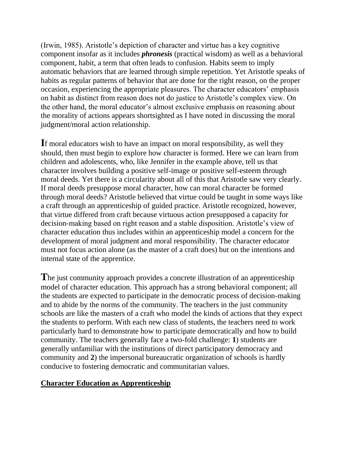(Irwin, 1985). Aristotle's depiction of character and virtue has a key cognitive component insofar as it includes *phronesis* (practical wisdom) as well as a behavioral component, habit, a term that often leads to confusion. Habits seem to imply automatic behaviors that are learned through simple repetition. Yet Aristotle speaks of habits as regular patterns of behavior that are done for the right reason, on the proper occasion, experiencing the appropriate pleasures. The character educators' emphasis on habit as distinct from reason does not do justice to Aristotle's complex view. On the other hand, the moral educator's almost exclusive emphasis on reasoning about the morality of actions appears shortsighted as I have noted in discussing the moral judgment/moral action relationship.

**I**f moral educators wish to have an impact on moral responsibility, as well they should, then must begin to explore how character is formed. Here we can learn from children and adolescents, who, like Jennifer in the example above, tell us that character involves building a positive self-image or positive self-esteem through moral deeds. Yet there is a circularity about all of this that Aristotle saw very clearly. If moral deeds presuppose moral character, how can moral character be formed through moral deeds? Aristotle believed that virtue could be taught in some ways like a craft through an apprenticeship of guided practice. Aristotle recognized, however, that virtue differed from craft because virtuous action presupposed a capacity for decision-making based on right reason and a stable disposition. Aristotle's view of character education thus includes within an apprenticeship model a concern for the development of moral judgment and moral responsibility. The character educator must not focus action alone (as the master of a craft does) but on the intentions and internal state of the apprentice.

**T**he just community approach provides a concrete illustration of an apprenticeship model of character education. This approach has a strong behavioral component; all the students are expected to participate in the democratic process of decision-making and to abide by the norms of the community. The teachers in the just community schools are like the masters of a craft who model the kinds of actions that they expect the students to perform. With each new class of students, the teachers need to work particularly hard to demonstrate how to participate democratically and how to build community. The teachers generally face a two-fold challenge: **1**) students are generally unfamiliar with the institutions of direct participatory democracy and community and **2**) the impersonal bureaucratic organization of schools is hardly conducive to fostering democratic and communitarian values.

#### **Character Education as Apprenticeship**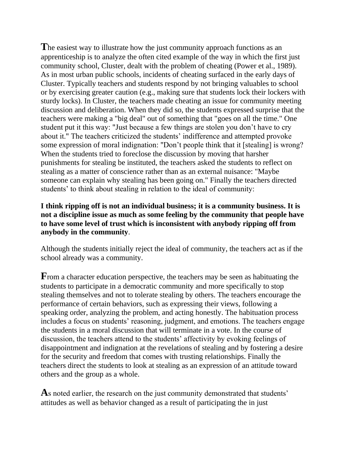The easiest way to illustrate how the just community approach functions as an apprenticeship is to analyze the often cited example of the way in which the first just community school, Cluster, dealt with the problem of cheating (Power et al., 1989). As in most urban public schools, incidents of cheating surfaced in the early days of Cluster. Typically teachers and students respond by not bringing valuables to school or by exercising greater caution (e.g., making sure that students lock their lockers with sturdy locks). In Cluster, the teachers made cheating an issue for community meeting discussion and deliberation. When they did so, the students expressed surprise that the teachers were making a "big deal" out of something that "goes on all the time." One student put it this way: "Just because a few things are stolen you don't have to cry about it." The teachers criticized the students' indifference and attempted provoke some expression of moral indignation: "Don't people think that it [stealing] is wrong? When the students tried to foreclose the discussion by moving that harsher punishments for stealing be instituted, the teachers asked the students to reflect on stealing as a matter of conscience rather than as an external nuisance: "Maybe someone can explain why stealing has been going on." Finally the teachers directed students' to think about stealing in relation to the ideal of community:

#### **I think ripping off is not an individual business; it is a community business. It is not a discipline issue as much as some feeling by the community that people have to have some level of trust which is inconsistent with anybody ripping off from anybody in the community**.

Although the students initially reject the ideal of community, the teachers act as if the school already was a community.

**F**rom a character education perspective, the teachers may be seen as habituating the students to participate in a democratic community and more specifically to stop stealing themselves and not to tolerate stealing by others. The teachers encourage the performance of certain behaviors, such as expressing their views, following a speaking order, analyzing the problem, and acting honestly. The habituation process includes a focus on students' reasoning, judgment, and emotions. The teachers engage the students in a moral discussion that will terminate in a vote. In the course of discussion, the teachers attend to the students' affectivity by evoking feelings of disappointment and indignation at the revelations of stealing and by fostering a desire for the security and freedom that comes with trusting relationships. Finally the teachers direct the students to look at stealing as an expression of an attitude toward others and the group as a whole.

**A**s noted earlier, the research on the just community demonstrated that students' attitudes as well as behavior changed as a result of participating the in just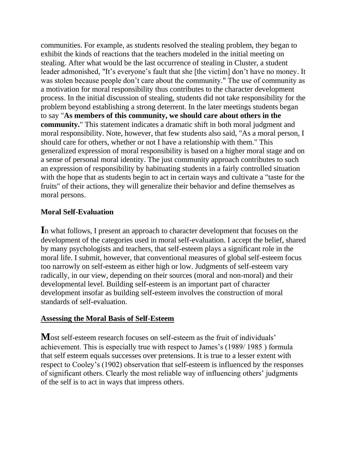communities. For example, as students resolved the stealing problem, they began to exhibit the kinds of reactions that the teachers modeled in the initial meeting on stealing. After what would be the last occurrence of stealing in Cluster, a student leader admonished, "It's everyone's fault that she [the victim] don't have no money. It was stolen because people don't care about the community." The use of community as a motivation for moral responsibility thus contributes to the character development process. In the initial discussion of stealing, students did not take responsibility for the problem beyond establishing a strong deterrent. In the later meetings students began to say "**As members of this community, we should care about others in the community.**" This statement indicates a dramatic shift in both moral judgment and moral responsibility. Note, however, that few students also said, "As a moral person, I should care for others, whether or not I have a relationship with them." This generalized expression of moral responsibility is based on a higher moral stage and on a sense of personal moral identity. The just community approach contributes to such an expression of responsibility by habituating students in a fairly controlled situation with the hope that as students begin to act in certain ways and cultivate a "taste for the fruits" of their actions, they will generalize their behavior and define themselves as moral persons.

# **Moral Self-Evaluation**

**I**n what follows, I present an approach to character development that focuses on the development of the categories used in moral self-evaluation. I accept the belief, shared by many psychologists and teachers, that self-esteem plays a significant role in the moral life. I submit, however, that conventional measures of global self-esteem focus too narrowly on self-esteem as either high or low. Judgments of self-esteem vary radically, in our view, depending on their sources (moral and non-moral) and their developmental level. Building self-esteem is an important part of character development insofar as building self-esteem involves the construction of moral standards of self-evaluation.

#### **Assessing the Moral Basis of Self-Esteem**

**M**ost self-esteem research focuses on self-esteem as the fruit of individuals' achievement. This is especially true with respect to James's (1989/ 1985 ) formula that self esteem equals successes over pretensions. It is true to a lesser extent with respect to Cooley's (1902) observation that self-esteem is influenced by the responses of significant others. Clearly the most reliable way of influencing others' judgments of the self is to act in ways that impress others.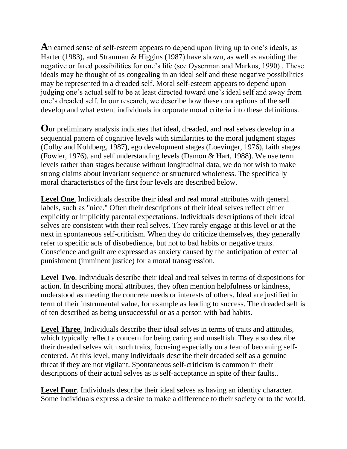**A**n earned sense of self-esteem appears to depend upon living up to one's ideals, as Harter (1983), and Strauman & Higgins (1987) have shown, as well as avoiding the negative or fared possibilities for one's life (see Oyserman and Markus, 1990) . These ideals may be thought of as congealing in an ideal self and these negative possibilities may be represented in a dreaded self. Moral self-esteem appears to depend upon judging one's actual self to be at least directed toward one's ideal self and away from one's dreaded self. In our research, we describe how these conceptions of the self develop and what extent individuals incorporate moral criteria into these definitions.

**O**ur preliminary analysis indicates that ideal, dreaded, and real selves develop in a sequential pattern of cognitive levels with similarities to the moral judgment stages (Colby and Kohlberg, 1987), ego development stages (Loevinger, 1976), faith stages (Fowler, 1976), and self understanding levels (Damon & Hart, 1988). We use term levels rather than stages because without longitudinal data, we do not wish to make strong claims about invariant sequence or structured wholeness. The specifically moral characteristics of the first four levels are described below.

**Level One**. Individuals describe their ideal and real moral attributes with general labels, such as "nice." Often their descriptions of their ideal selves reflect either explicitly or implicitly parental expectations. Individuals descriptions of their ideal selves are consistent with their real selves. They rarely engage at this level or at the next in spontaneous self-criticism. When they do criticize themselves, they generally refer to specific acts of disobedience, but not to bad habits or negative traits. Conscience and guilt are expressed as anxiety caused by the anticipation of external punishment (imminent justice) for a moral transgression.

**Level Two**. Individuals describe their ideal and real selves in terms of dispositions for action. In describing moral attributes, they often mention helpfulness or kindness, understood as meeting the concrete needs or interests of others. Ideal are justified in term of their instrumental value, for example as leading to success. The dreaded self is of ten described as being unsuccessful or as a person with bad habits.

**Level Three**. Individuals describe their ideal selves in terms of traits and attitudes, which typically reflect a concern for being caring and unselfish. They also describe their dreaded selves with such traits, focusing especially on a fear of becoming selfcentered. At this level, many individuals describe their dreaded self as a genuine threat if they are not vigilant. Spontaneous self-criticism is common in their descriptions of their actual selves as is self-acceptance in spite of their faults..

**Level Four**. Individuals describe their ideal selves as having an identity character. Some individuals express a desire to make a difference to their society or to the world.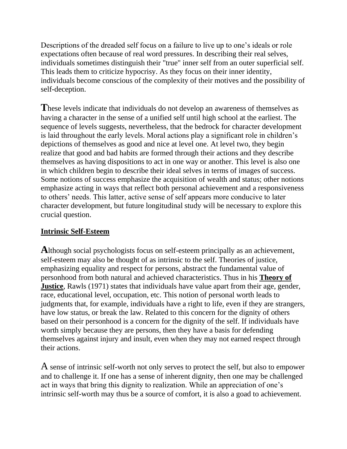Descriptions of the dreaded self focus on a failure to live up to one's ideals or role expectations often because of real word pressures. In describing their real selves, individuals sometimes distinguish their "true" inner self from an outer superficial self. This leads them to criticize hypocrisy. As they focus on their inner identity, individuals become conscious of the complexity of their motives and the possibility of self-deception.

**T**hese levels indicate that individuals do not develop an awareness of themselves as having a character in the sense of a unified self until high school at the earliest. The sequence of levels suggests, nevertheless, that the bedrock for character development is laid throughout the early levels. Moral actions play a significant role in children's depictions of themselves as good and nice at level one. At level two, they begin realize that good and bad habits are formed through their actions and they describe themselves as having dispositions to act in one way or another. This level is also one in which children begin to describe their ideal selves in terms of images of success. Some notions of success emphasize the acquisition of wealth and status; other notions emphasize acting in ways that reflect both personal achievement and a responsiveness to others' needs. This latter, active sense of self appears more conducive to later character development, but future longitudinal study will be necessary to explore this crucial question.

#### **Intrinsic Self-Esteem**

**A**lthough social psychologists focus on self-esteem principally as an achievement, self-esteem may also be thought of as intrinsic to the self. Theories of justice, emphasizing equality and respect for persons, abstract the fundamental value of personhood from both natural and achieved characteristics. Thus in his **Theory of Justice**, Rawls (1971) states that individuals have value apart from their age, gender, race, educational level, occupation, etc. This notion of personal worth leads to judgments that, for example, individuals have a right to life, even if they are strangers, have low status, or break the law. Related to this concern for the dignity of others based on their personhood is a concern for the dignity of the self. If individuals have worth simply because they are persons, then they have a basis for defending themselves against injury and insult, even when they may not earned respect through their actions.

A sense of intrinsic self-worth not only serves to protect the self, but also to empower and to challenge it. If one has a sense of inherent dignity, then one may be challenged act in ways that bring this dignity to realization. While an appreciation of one's intrinsic self-worth may thus be a source of comfort, it is also a goad to achievement.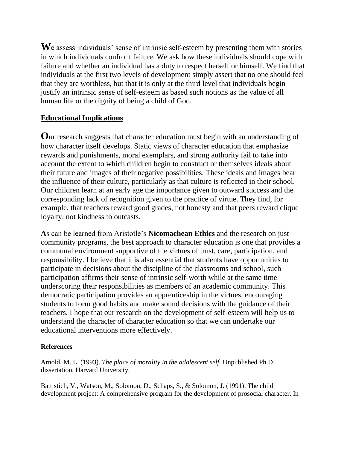We assess individuals' sense of intrinsic self-esteem by presenting them with stories in which individuals confront failure. We ask how these individuals should cope with failure and whether an individual has a duty to respect herself or himself. We find that individuals at the first two levels of development simply assert that no one should feel that they are worthless, but that it is only at the third level that individuals begin justify an intrinsic sense of self-esteem as based such notions as the value of all human life or the dignity of being a child of God.

#### **Educational Implications**

**O**ur research suggests that character education must begin with an understanding of how character itself develops. Static views of character education that emphasize rewards and punishments, moral exemplars, and strong authority fail to take into account the extent to which children begin to construct or themselves ideals about their future and images of their negative possibilities. These ideals and images bear the influence of their culture, particularly as that culture is reflected in their school. Our children learn at an early age the importance given to outward success and the corresponding lack of recognition given to the practice of virtue. They find, for example, that teachers reward good grades, not honesty and that peers reward clique loyalty, not kindness to outcasts.

**A**s can be learned from Aristotle's **Nicomachean Ethics** and the research on just community programs, the best approach to character education is one that provides a communal environment supportive of the virtues of trust, care, participation, and responsibility. I believe that it is also essential that students have opportunities to participate in decisions about the discipline of the classrooms and school, such participation affirms their sense of intrinsic self-worth while at the same time underscoring their responsibilities as members of an academic community. This democratic participation provides an apprenticeship in the virtues, encouraging students to form good habits and make sound decisions with the guidance of their teachers. I hope that our research on the development of self-esteem will help us to understand the character of character education so that we can undertake our educational interventions more effectively.

#### **References**

Arnold, M. L. (1993). *The place of morality in the adolescent self*. Unpublished Ph.D. dissertation, Harvard University.

Battistich, V., Watson, M., Solomon, D., Schaps, S., & Solomon, J. (1991). The child development project: A comprehensive program for the development of prosocial character. In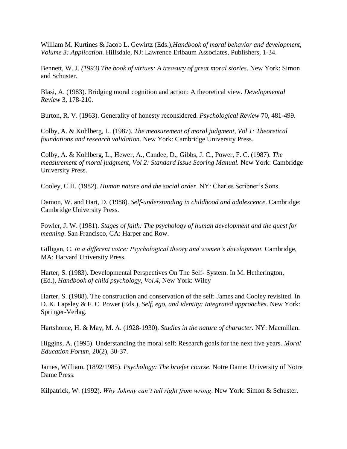William M. Kurtines & Jacob L. Gewirtz (Eds.),*Handbook of moral behavior and development, Volume 3: Application*. Hillsdale, NJ: Lawrence Erlbaum Associates, Publishers, 1-34.

Bennett, W. J. *(1993) The book of virtues: A treasury of great moral stories*. New York: Simon and Schuster.

Blasi, A. (1983). Bridging moral cognition and action: A theoretical view. *Developmental Review* 3, 178-210.

Burton, R. V. (1963). Generality of honesty reconsidered. *Psychological Review* 70, 481-499.

Colby, A. & Kohlberg, L. (1987). *The measurement of moral judgment, Vol 1: Theoretical foundations and research validation*. New York: Cambridge University Press.

Colby, A. & Kohlberg, L., Hewer, A., Candee, D., Gibbs, J. C., Power, F. C. (1987). *The measurement of moral judgment, Vol 2: Standard Issue Scoring Manual.* New York: Cambridge University Press.

Cooley, C.H. (1982). *Human nature and the social order*. NY: Charles Scribner's Sons.

Damon, W. and Hart, D. (1988). *Self-understanding in childhood and adolescence*. Cambridge: Cambridge University Press.

Fowler, J. W. (1981). *Stages of faith: The psychology of human development and the quest for meaning*. San Francisco, CA: Harper and Row.

Gilligan, C. *In a different voice: Psychological theory and women's development.* Cambridge, MA: Harvard University Press.

Harter, S. (1983). Developmental Perspectives On The Self- System. In M. Hetherington, (Ed.), *Handbook of child psychology, Vol.4,* New York: Wiley

Harter, S. (1988). The construction and conservation of the self: James and Cooley revisited. In D. K. Lapsley & F. C. Power (Eds.), *Self, ego, and identity: Integrated approaches*. New York: Springer-Verlag.

Hartshorne, H. & May, M. A. (1928-1930). *Studies in the nature of character.* NY: Macmillan.

Higgins, A. (1995). Understanding the moral self: Research goals for the next five years. *Moral Education Forum*, 20(2), 30-37.

James, William. (1892/1985). *Psychology: The briefer course*. Notre Dame: University of Notre Dame Press.

Kilpatrick, W. (1992). *Why Johnny can't tell right from wrong*. New York: Simon & Schuster.